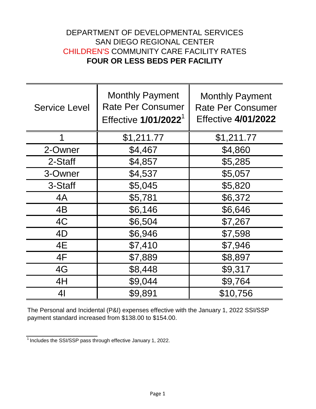## DEPARTMENT OF DEVELOPMENTAL SERVICES SAN DIEGO REGIONAL CENTER CHILDREN'S COMMUNITY CARE FACILITY RATES **FOUR OR LESS BEDS PER FACILITY**

| <b>Service Level</b> | <b>Monthly Payment</b><br><b>Rate Per Consumer</b><br>Effective 1/01/2022 <sup>1</sup> | <b>Monthly Payment</b><br><b>Rate Per Consumer</b><br><b>Effective 4/01/2022</b> |
|----------------------|----------------------------------------------------------------------------------------|----------------------------------------------------------------------------------|
| 1                    | \$1,211.77                                                                             | \$1,211.77                                                                       |
| 2-Owner              | \$4,467                                                                                | \$4,860                                                                          |
| 2-Staff              | \$4,857                                                                                | \$5,285                                                                          |
| 3-Owner              | \$4,537                                                                                | \$5,057                                                                          |
| 3-Staff              | \$5,045                                                                                | \$5,820                                                                          |
| 4A                   | \$5,781                                                                                | \$6,372                                                                          |
| 4B                   | \$6,146                                                                                | \$6,646                                                                          |
| 4C                   | \$6,504                                                                                | \$7,267                                                                          |
| 4D                   | \$6,946                                                                                | \$7,598                                                                          |
| 4E                   | \$7,410                                                                                | \$7,946                                                                          |
| 4F                   | \$7,889                                                                                | \$8,897                                                                          |
| 4G                   | \$8,448                                                                                | \$9,317                                                                          |
| 4H                   | \$9,044                                                                                | \$9,764                                                                          |
| 4 <sub>l</sub>       | \$9,891                                                                                | \$10,756                                                                         |

The Personal and Incidental (P&I) expenses effective with the January 1, 2022 SSI/SSP payment standard increased from \$138.00 to \$154.00.

 $1$ Includes the SSI/SSP pass through effective January 1, 2022.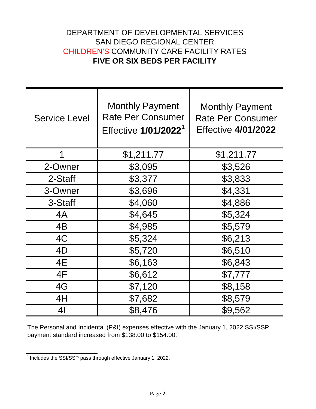## DEPARTMENT OF DEVELOPMENTAL SERVICES SAN DIEGO REGIONAL CENTER CHILDREN'S COMMUNITY CARE FACILITY RATES **FIVE OR SIX BEDS PER FACILITY**

| <b>Service Level</b> | <b>Monthly Payment</b><br><b>Rate Per Consumer</b><br>Effective 1/01/2022 <sup>1</sup> | <b>Monthly Payment</b><br><b>Rate Per Consumer</b><br><b>Effective 4/01/2022</b> |
|----------------------|----------------------------------------------------------------------------------------|----------------------------------------------------------------------------------|
| 1                    | \$1,211.77                                                                             | \$1,211.77                                                                       |
| 2-Owner              | \$3,095                                                                                | \$3,526                                                                          |
| 2-Staff              | \$3,377                                                                                | \$3,833                                                                          |
| 3-Owner              | \$3,696                                                                                | \$4,331                                                                          |
| 3-Staff              | \$4,060                                                                                | \$4,886                                                                          |
| 4A                   | \$4,645                                                                                | \$5,324                                                                          |
| 4B                   | \$4,985                                                                                | \$5,579                                                                          |
| 4C                   | \$5,324                                                                                | \$6,213                                                                          |
| 4D                   | \$5,720                                                                                | \$6,510                                                                          |
| 4E                   | \$6,163                                                                                | \$6,843                                                                          |
| 4F                   | \$6,612                                                                                | \$7,777                                                                          |
| 4G                   | \$7,120                                                                                | \$8,158                                                                          |
| 4H                   | \$7,682                                                                                | \$8,579                                                                          |
| 4 <sub>l</sub>       | \$8,476                                                                                | \$9,562                                                                          |

The Personal and Incidental (P&I) expenses effective with the January 1, 2022 SSI/SSP payment standard increased from \$138.00 to \$154.00.

 $\frac{1}{1}$  Includes the SSI/SSP pass through effective January 1, 2022.